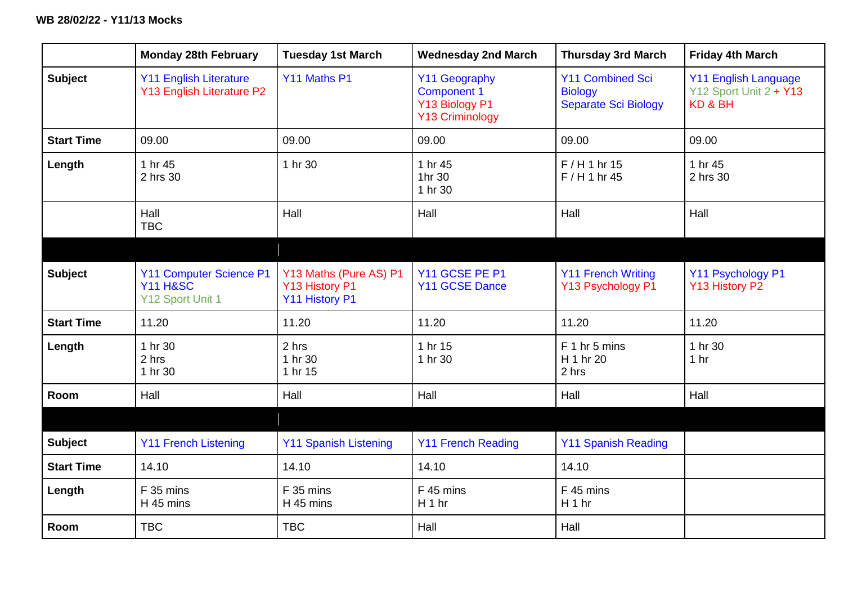|                   | <b>Monday 28th February</b>                                               | <b>Tuesday 1st March</b>                                   | <b>Wednesday 2nd March</b>                                                             | <b>Thursday 3rd March</b>                                                | <b>Friday 4th March</b>                                          |
|-------------------|---------------------------------------------------------------------------|------------------------------------------------------------|----------------------------------------------------------------------------------------|--------------------------------------------------------------------------|------------------------------------------------------------------|
| <b>Subject</b>    | <b>Y11 English Literature</b><br>Y13 English Literature P2                | Y11 Maths P1                                               | <b>Y11 Geography</b><br><b>Component 1</b><br>Y13 Biology P1<br><b>Y13 Criminology</b> | <b>Y11 Combined Sci</b><br><b>Biology</b><br><b>Separate Sci Biology</b> | <b>Y11 English Language</b><br>Y12 Sport Unit 2 + Y13<br>KD & BH |
| <b>Start Time</b> | 09.00                                                                     | 09.00                                                      | 09.00                                                                                  | 09.00                                                                    | 09.00                                                            |
| Length            | 1 hr 45<br>2 hrs 30                                                       | 1 hr 30                                                    | 1 hr 45<br>1hr 30<br>1 hr 30                                                           | $F/H1$ hr 15<br>$F/H1$ hr 45                                             | 1 hr 45<br>2 hrs 30                                              |
|                   | Hall<br><b>TBC</b>                                                        | Hall                                                       | Hall                                                                                   | Hall                                                                     | Hall                                                             |
|                   |                                                                           |                                                            |                                                                                        |                                                                          |                                                                  |
| <b>Subject</b>    | <b>Y11 Computer Science P1</b><br><b>Y11 H&amp;SC</b><br>Y12 Sport Unit 1 | Y13 Maths (Pure AS) P1<br>Y13 History P1<br>Y11 History P1 | Y11 GCSE PE P1<br>Y11 GCSE Dance                                                       | <b>Y11 French Writing</b><br>Y13 Psychology P1                           | Y11 Psychology P1<br>Y13 History P2                              |
| <b>Start Time</b> | 11.20                                                                     | 11.20                                                      | 11.20                                                                                  | 11.20                                                                    | 11.20                                                            |
| Length            | 1 hr 30<br>2 hrs<br>1 hr 30                                               | 2 hrs<br>1 hr 30<br>1 hr 15                                | 1 hr 15<br>1 hr 30                                                                     | F 1 hr 5 mins<br>H 1 hr 20<br>2 hrs                                      | 1 hr 30<br>1 <sub>hr</sub>                                       |
| Room              | Hall                                                                      | Hall                                                       | Hall                                                                                   | Hall                                                                     | Hall                                                             |
|                   |                                                                           |                                                            |                                                                                        |                                                                          |                                                                  |
| <b>Subject</b>    | <b>Y11 French Listening</b>                                               | <b>Y11 Spanish Listening</b>                               | <b>Y11 French Reading</b>                                                              | <b>Y11 Spanish Reading</b>                                               |                                                                  |
| <b>Start Time</b> | 14.10                                                                     | 14.10                                                      | 14.10                                                                                  | 14.10                                                                    |                                                                  |
| Length            | F 35 mins<br>H 45 mins                                                    | F 35 mins<br>H 45 mins                                     | F 45 mins<br>H 1 hr                                                                    | F 45 mins<br>H 1 hr                                                      |                                                                  |
| <b>Room</b>       | <b>TBC</b>                                                                | <b>TBC</b>                                                 | Hall                                                                                   | Hall                                                                     |                                                                  |